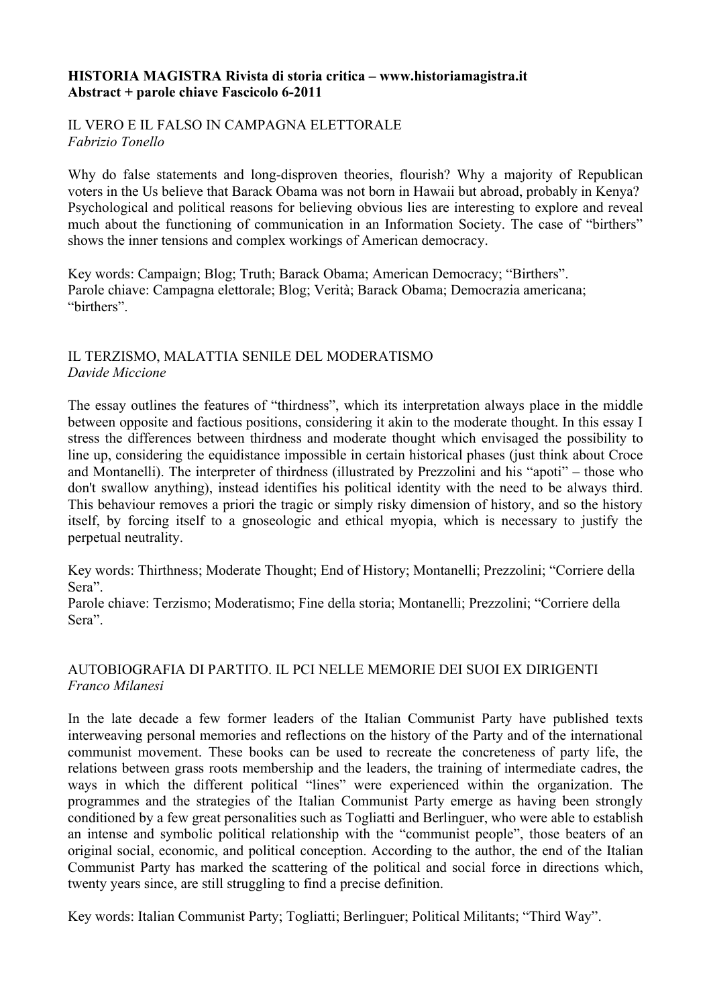### **HISTORIA MAGISTRA Rivista di storia critica – www.historiamagistra.it Abstract + parole chiave Fascicolo 6-2011**

### IL VERO E IL FALSO IN CAMPAGNA ELETTORALE *Fabrizio Tonello*

Why do false statements and long-disproven theories, flourish? Why a majority of Republican voters in the Us believe that Barack Obama was not born in Hawaii but abroad, probably in Kenya? Psychological and political reasons for believing obvious lies are interesting to explore and reveal much about the functioning of communication in an Information Society. The case of "birthers" shows the inner tensions and complex workings of American democracy.

Key words: Campaign; Blog; Truth; Barack Obama; American Democracy; "Birthers". Parole chiave: Campagna elettorale; Blog; Verità; Barack Obama; Democrazia americana; "birthers".

### IL TERZISMO, MALATTIA SENILE DEL MODERATISMO *Davide Miccione*

The essay outlines the features of "thirdness", which its interpretation always place in the middle between opposite and factious positions, considering it akin to the moderate thought. In this essay I stress the differences between thirdness and moderate thought which envisaged the possibility to line up, considering the equidistance impossible in certain historical phases (just think about Croce and Montanelli). The interpreter of thirdness (illustrated by Prezzolini and his "apoti" – those who don't swallow anything), instead identifies his political identity with the need to be always third. This behaviour removes a priori the tragic or simply risky dimension of history, and so the history itself, by forcing itself to a gnoseologic and ethical myopia, which is necessary to justify the perpetual neutrality.

Key words: Thirthness; Moderate Thought; End of History; Montanelli; Prezzolini; "Corriere della Sera".

Parole chiave: Terzismo; Moderatismo; Fine della storia; Montanelli; Prezzolini; "Corriere della Sera".

### AUTOBIOGRAFIA DI PARTITO. IL PCI NELLE MEMORIE DEI SUOI EX DIRIGENTI *Franco Milanesi*

In the late decade a few former leaders of the Italian Communist Party have published texts interweaving personal memories and reflections on the history of the Party and of the international communist movement. These books can be used to recreate the concreteness of party life, the relations between grass roots membership and the leaders, the training of intermediate cadres, the ways in which the different political "lines" were experienced within the organization. The programmes and the strategies of the Italian Communist Party emerge as having been strongly conditioned by a few great personalities such as Togliatti and Berlinguer, who were able to establish an intense and symbolic political relationship with the "communist people", those beaters of an original social, economic, and political conception. According to the author, the end of the Italian Communist Party has marked the scattering of the political and social force in directions which, twenty years since, are still struggling to find a precise definition.

Key words: Italian Communist Party; Togliatti; Berlinguer; Political Militants; "Third Way".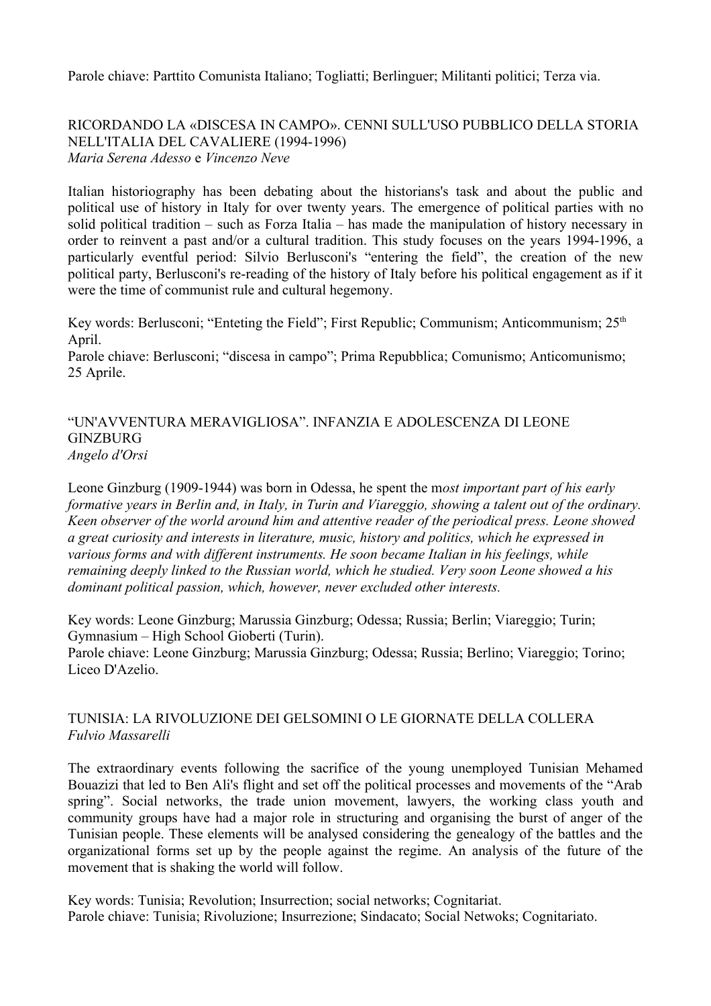Parole chiave: Parttito Comunista Italiano; Togliatti; Berlinguer; Militanti politici; Terza via.

RICORDANDO LA «DISCESA IN CAMPO». CENNI SULL'USO PUBBLICO DELLA STORIA NELL'ITALIA DEL CAVALIERE (1994-1996) *Maria Serena Adesso* e *Vincenzo Neve*

Italian historiography has been debating about the historians's task and about the public and political use of history in Italy for over twenty years. The emergence of political parties with no solid political tradition – such as Forza Italia – has made the manipulation of history necessary in order to reinvent a past and/or a cultural tradition. This study focuses on the years 1994-1996, a particularly eventful period: Silvio Berlusconi's "entering the field", the creation of the new political party, Berlusconi's re-reading of the history of Italy before his political engagement as if it were the time of communist rule and cultural hegemony.

Key words: Berlusconi; "Enteting the Field"; First Republic; Communism; Anticommunism;  $25<sup>th</sup>$ April.

Parole chiave: Berlusconi; "discesa in campo"; Prima Repubblica; Comunismo; Anticomunismo; 25 Aprile.

"UN'AVVENTURA MERAVIGLIOSA". INFANZIA E ADOLESCENZA DI LEONE **GINZBURG** *Angelo d'Orsi*

Leone Ginzburg (1909-1944) was born in Odessa, he spent the m*ost important part of his early formative years in Berlin and, in Italy, in Turin and Viareggio, showing a talent out of the ordinary. Keen observer of the world around him and attentive reader of the periodical press. Leone showed a great curiosity and interests in literature, music, history and politics, which he expressed in various forms and with different instruments. He soon became Italian in his feelings, while remaining deeply linked to the Russian world, which he studied. Very soon Leone showed a his dominant political passion, which, however, never excluded other interests.*

Key words: Leone Ginzburg; Marussia Ginzburg; Odessa; Russia; Berlin; Viareggio; Turin; Gymnasium – High School Gioberti (Turin).

Parole chiave: Leone Ginzburg; Marussia Ginzburg; Odessa; Russia; Berlino; Viareggio; Torino; Liceo D'Azelio.

# TUNISIA: LA RIVOLUZIONE DEI GELSOMINI O LE GIORNATE DELLA COLLERA *Fulvio Massarelli*

The extraordinary events following the sacrifice of the young unemployed Tunisian Mehamed Bouazizi that led to Ben Ali's flight and set off the political processes and movements of the "Arab spring". Social networks, the trade union movement, lawyers, the working class youth and community groups have had a major role in structuring and organising the burst of anger of the Tunisian people. These elements will be analysed considering the genealogy of the battles and the organizational forms set up by the people against the regime. An analysis of the future of the movement that is shaking the world will follow.

Key words: Tunisia; Revolution; Insurrection; social networks; Cognitariat. Parole chiave: Tunisia; Rivoluzione; Insurrezione; Sindacato; Social Netwoks; Cognitariato.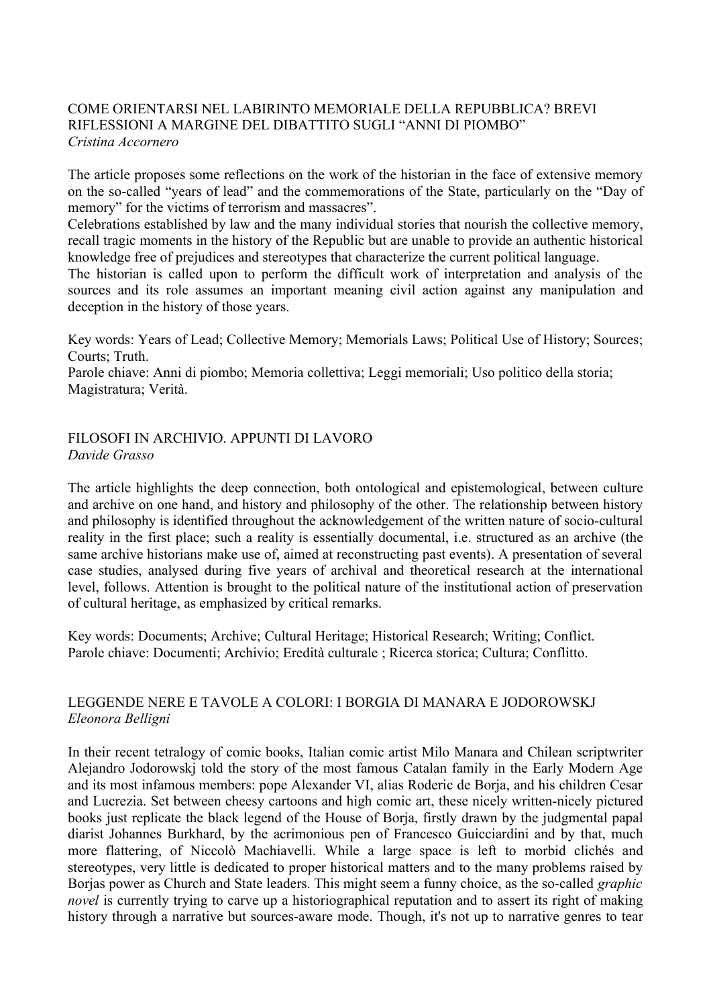# COME ORIENTARSI NEL LABIRINTO MEMORIALE DELLA REPUBBLICA? BREVI RIFLESSIONI A MARGINE DEL DIBATTITO SUGLI "ANNI DI PIOMBO" *Cristina Accornero*

The article proposes some reflections on the work of the historian in the face of extensive memory on the so-called "years of lead" and the commemorations of the State, particularly on the "Day of memory" for the victims of terrorism and massacres".

Celebrations established by law and the many individual stories that nourish the collective memory, recall tragic moments in the history of the Republic but are unable to provide an authentic historical knowledge free of prejudices and stereotypes that characterize the current political language.

The historian is called upon to perform the difficult work of interpretation and analysis of the sources and its role assumes an important meaning civil action against any manipulation and deception in the history of those years.

Key words: Years of Lead; Collective Memory; Memorials Laws; Political Use of History; Sources; Courts; Truth.

Parole chiave: Anni di piombo; Memoria collettiva; Leggi memoriali; Uso politico della storia; Magistratura; Verità.

### FILOSOFI IN ARCHIVIO. APPUNTI DI LAVORO *Davide Grasso*

The article highlights the deep connection, both ontological and epistemological, between culture and archive on one hand, and history and philosophy of the other. The relationship between history and philosophy is identified throughout the acknowledgement of the written nature of socio-cultural reality in the first place; such a reality is essentially documental, i.e. structured as an archive (the same archive historians make use of, aimed at reconstructing past events). A presentation of several case studies, analysed during five years of archival and theoretical research at the international level, follows. Attention is brought to the political nature of the institutional action of preservation of cultural heritage, as emphasized by critical remarks.

Key words: Documents; Archive; Cultural Heritage; Historical Research; Writing; Conflict. Parole chiave: Documenti; Archivio; Eredità culturale ; Ricerca storica; Cultura; Conflitto.

# LEGGENDE NERE E TAVOLE A COLORI: I BORGIA DI MANARA E JODOROWSKJ *Eleonora Belligni*

In their recent tetralogy of comic books, Italian comic artist Milo Manara and Chilean scriptwriter Alejandro Jodorowskj told the story of the most famous Catalan family in the Early Modern Age and its most infamous members: pope Alexander VI, alias Roderic de Borja, and his children Cesar and Lucrezia. Set between cheesy cartoons and high comic art, these nicely written-nicely pictured books just replicate the black legend of the House of Borja, firstly drawn by the judgmental papal diarist Johannes Burkhard, by the acrimonious pen of Francesco Guicciardini and by that, much more flattering, of Niccolò Machiavelli. While a large space is left to morbid clichés and stereotypes, very little is dedicated to proper historical matters and to the many problems raised by Borjas power as Church and State leaders. This might seem a funny choice, as the so-called *graphic novel* is currently trying to carve up a historiographical reputation and to assert its right of making history through a narrative but sources-aware mode. Though, it's not up to narrative genres to tear